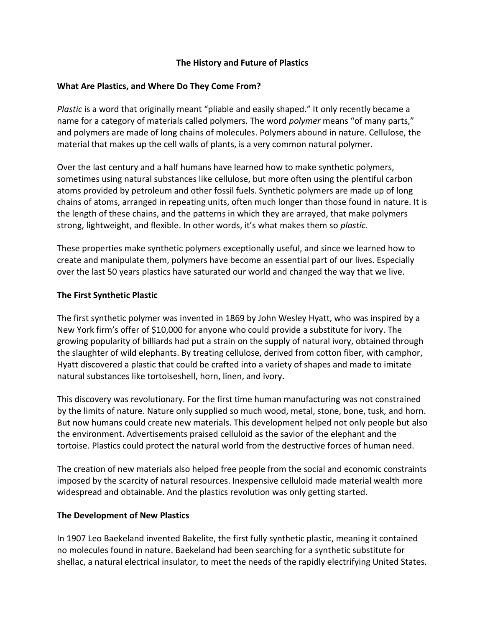## **The History and Future of Plastics**

### **What Are Plastics, and Where Do They Come From?**

*Plastic* is a word that originally meant "pliable and easily shaped." It only recently became a name for a category of materials called polymers. The word *polymer* means "of many parts," and polymers are made of long chains of molecules. Polymers abound in nature. Cellulose, the material that makes up the cell walls of plants, is a very common natural polymer.

Over the last century and a half humans have learned how to make synthetic polymers, sometimes using natural substances like cellulose, but more often using the plentiful carbon atoms provided by petroleum and other fossil fuels. Synthetic polymers are made up of long chains of atoms, arranged in repeating units, often much longer than those found in nature. It is the length of these chains, and the patterns in which they are arrayed, that make polymers strong, lightweight, and flexible. In other words, it's what makes them so *plastic.*

These properties make synthetic polymers exceptionally useful, and since we learned how to create and manipulate them, polymers have become an essential part of our lives. Especially over the last 50 years plastics have saturated our world and changed the way that we live.

### **The First Synthetic Plastic**

The first synthetic polymer was invented in 1869 by John Wesley Hyatt, who was inspired by a New York firm's offer of \$10,000 for anyone who could provide a substitute for ivory. The growing popularity of billiards had put a strain on the supply of natural ivory, obtained through the slaughter of wild elephants. By treating cellulose, derived from cotton fiber, with camphor, Hyatt discovered a plastic that could be crafted into a variety of shapes and made to imitate natural substances like tortoiseshell, horn, linen, and ivory.

This discovery was revolutionary. For the first time human manufacturing was not constrained by the limits of nature. Nature only supplied so much wood, metal, stone, bone, tusk, and horn. But now humans could create new materials. This development helped not only people but also the environment. Advertisements praised celluloid as the savior of the elephant and the tortoise. Plastics could protect the natural world from the destructive forces of human need.

The creation of new materials also helped free people from the social and economic constraints imposed by the scarcity of natural resources. Inexpensive celluloid made material wealth more widespread and obtainable. And the plastics revolution was only getting started.

### **The Development of New Plastics**

In 1907 Leo Baekeland invented Bakelite, the first fully synthetic plastic, meaning it contained no molecules found in nature. Baekeland had been searching for a synthetic substitute for shellac, a natural electrical insulator, to meet the needs of the rapidly electrifying United States.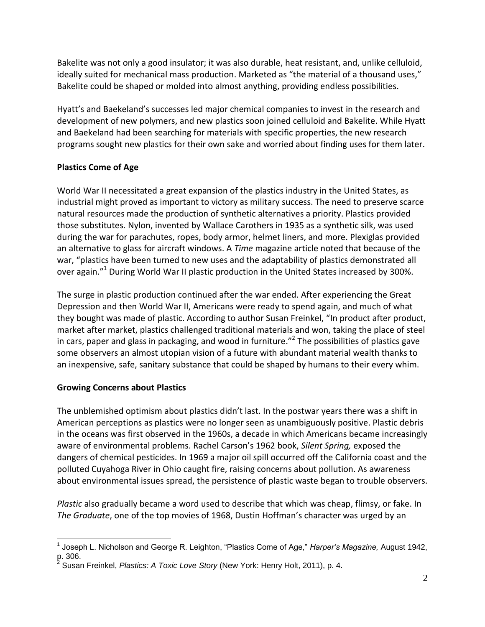Bakelite was not only a good insulator; it was also durable, heat resistant, and, unlike celluloid, ideally suited for mechanical mass production. Marketed as "the material of a thousand uses," Bakelite could be shaped or molded into almost anything, providing endless possibilities.

Hyatt's and Baekeland's successes led major chemical companies to invest in the research and development of new polymers, and new plastics soon joined celluloid and Bakelite. While Hyatt and Baekeland had been searching for materials with specific properties, the new research programs sought new plastics for their own sake and worried about finding uses for them later.

## **Plastics Come of Age**

World War II necessitated a great expansion of the plastics industry in the United States, as industrial might proved as important to victory as military success. The need to preserve scarce natural resources made the production of synthetic alternatives a priority. Plastics provided those substitutes. Nylon, invented by Wallace Carothers in 1935 as a synthetic silk, was used during the war for parachutes, ropes, body armor, helmet liners, and more. Plexiglas provided an alternative to glass for aircraft windows. A *Time* magazine article noted that because of the war, "plastics have been turned to new uses and the adaptability of plastics demonstrated all over again."<sup>1</sup> During World War II plastic production in the United States increased by 300%.

The surge in plastic production continued after the war ended. After experiencing the Great Depression and then World War II, Americans were ready to spend again, and much of what they bought was made of plastic. According to author Susan Freinkel, "In product after product, market after market, plastics challenged traditional materials and won, taking the place of steel in cars, paper and glass in packaging, and wood in furniture."<sup>2</sup> The possibilities of plastics gave some observers an almost utopian vision of a future with abundant material wealth thanks to an inexpensive, safe, sanitary substance that could be shaped by humans to their every whim.

# **Growing Concerns about Plastics**

The unblemished optimism about plastics didn't last. In the postwar years there was a shift in American perceptions as plastics were no longer seen as unambiguously positive. Plastic debris in the oceans was first observed in the 1960s, a decade in which Americans became increasingly aware of environmental problems. Rachel Carson's 1962 book, *Silent Spring,* exposed the dangers of chemical pesticides. In 1969 a major oil spill occurred off the California coast and the polluted Cuyahoga River in Ohio caught fire, raising concerns about pollution. As awareness about environmental issues spread, the persistence of plastic waste began to trouble observers.

*Plastic* also gradually became a word used to describe that which was cheap, flimsy, or fake. In *The Graduate*, one of the top movies of 1968, Dustin Hoffman's character was urged by an

 $\overline{a}$ 1 Joseph L. Nicholson and George R. Leighton, "Plastics Come of Age," *Harper's Magazine,* August 1942, p. 306.<br><sup>2</sup> Cues.

Susan Freinkel, *Plastics: A Toxic Love Story* (New York: Henry Holt, 2011), p. 4.